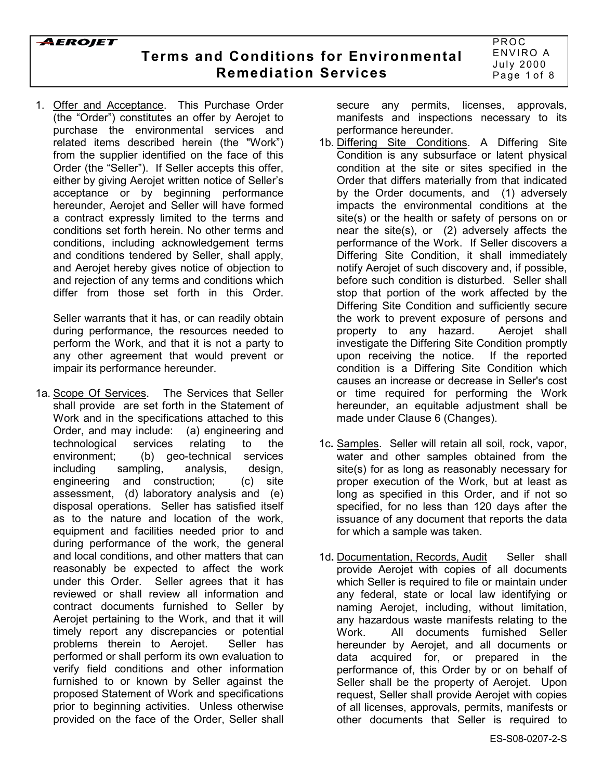1. Offer and Acceptance. This Purchase Order (the "Order") constitutes an offer by Aerojet to purchase the environmental services and related items described herein (the "Work") from the supplier identified on the face of this Order (the "Seller"). If Seller accepts this offer, either by giving Aerojet written notice of Seller's acceptance or by beginning performance hereunder, Aerojet and Seller will have formed a contract expressly limited to the terms and conditions set forth herein. No other terms and conditions, including acknowledgement terms and conditions tendered by Seller, shall apply, and Aerojet hereby gives notice of objection to and rejection of any terms and conditions which differ from those set forth in this Order.

Seller warrants that it has, or can readily obtain during performance, the resources needed to perform the Work, and that it is not a party to any other agreement that would prevent or impair its performance hereunder.

1a. Scope Of Services. The Services that Seller shall provide are set forth in the Statement of Work and in the specifications attached to this Order, and may include: (a) engineering and technological services relating to the environment; (b) geo-technical services including sampling, analysis, design, engineering and construction; (c) site assessment, (d) laboratory analysis and (e) disposal operations. Seller has satisfied itself as to the nature and location of the work, equipment and facilities needed prior to and during performance of the work, the general and local conditions, and other matters that can reasonably be expected to affect the work under this Order. Seller agrees that it has reviewed or shall review all information and contract documents furnished to Seller by Aerojet pertaining to the Work, and that it will timely report any discrepancies or potential problems therein to Aerojet. Seller has performed or shall perform its own evaluation to verify field conditions and other information furnished to or known by Seller against the proposed Statement of Work and specifications prior to beginning activities. Unless otherwise provided on the face of the Order, Seller shall

secure any permits, licenses, approvals, manifests and inspections necessary to its performance hereunder.

- 1b. Differing Site Conditions. A Differing Site Condition is any subsurface or latent physical condition at the site or sites specified in the Order that differs materially from that indicated by the Order documents, and (1) adversely impacts the environmental conditions at the site(s) or the health or safety of persons on or near the site(s), or (2) adversely affects the performance of the Work. If Seller discovers a Differing Site Condition, it shall immediately notify Aerojet of such discovery and, if possible, before such condition is disturbed. Seller shall stop that portion of the work affected by the Differing Site Condition and sufficiently secure the work to prevent exposure of persons and property to any hazard. Aerojet shall investigate the Differing Site Condition promptly upon receiving the notice. If the reported condition is a Differing Site Condition which causes an increase or decrease in Seller's cost or time required for performing the Work hereunder, an equitable adjustment shall be made under Clause 6 (Changes).
- 1c**.** Samples. Seller will retain all soil, rock, vapor, water and other samples obtained from the site(s) for as long as reasonably necessary for proper execution of the Work, but at least as long as specified in this Order, and if not so specified, for no less than 120 days after the issuance of any document that reports the data for which a sample was taken.
- 1d. Documentation, Records, Audit Seller shall provide Aerojet with copies of all documents which Seller is required to file or maintain under any federal, state or local law identifying or naming Aerojet, including, without limitation, any hazardous waste manifests relating to the Work. All documents furnished Seller hereunder by Aerojet, and all documents or data acquired for, or prepared in the performance of, this Order by or on behalf of Seller shall be the property of Aerojet. Upon request, Seller shall provide Aerojet with copies of all licenses, approvals, permits, manifests or other documents that Seller is required to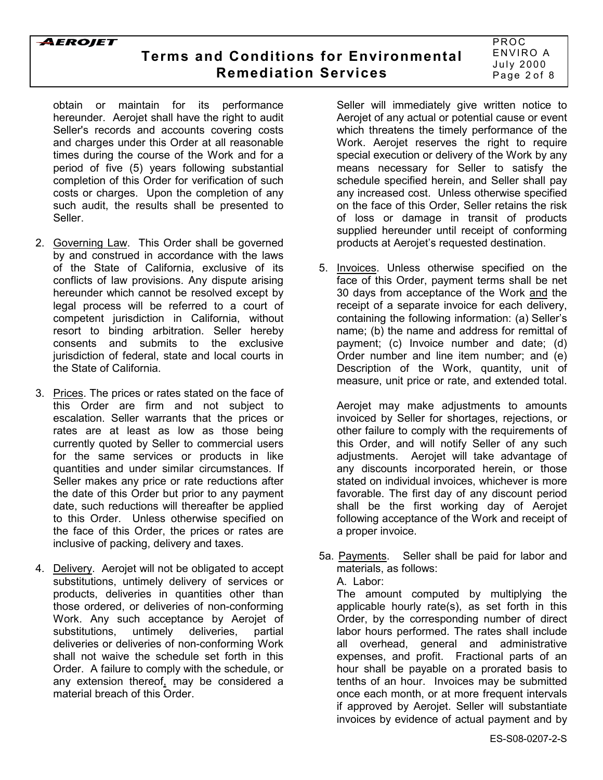# **Terms and Conditions for Environmental Remediation Services**

PROC ENVIRO A July 2000 Page 2 of 8

obtain or maintain for its performance hereunder. Aerojet shall have the right to audit Seller's records and accounts covering costs and charges under this Order at all reasonable times during the course of the Work and for a period of five (5) years following substantial completion of this Order for verification of such costs or charges. Upon the completion of any such audit, the results shall be presented to Seller.

- 2. Governing Law. This Order shall be governed by and construed in accordance with the laws of the State of California, exclusive of its conflicts of law provisions. Any dispute arising hereunder which cannot be resolved except by legal process will be referred to a court of competent jurisdiction in California, without resort to binding arbitration. Seller hereby consents and submits to the exclusive jurisdiction of federal, state and local courts in the State of California.
- 3. Prices. The prices or rates stated on the face of this Order are firm and not subject to escalation. Seller warrants that the prices or rates are at least as low as those being currently quoted by Seller to commercial users for the same services or products in like quantities and under similar circumstances. If Seller makes any price or rate reductions after the date of this Order but prior to any payment date, such reductions will thereafter be applied to this Order. Unless otherwise specified on the face of this Order, the prices or rates are inclusive of packing, delivery and taxes.
- 4. Delivery. Aerojet will not be obligated to accept substitutions, untimely delivery of services or products, deliveries in quantities other than those ordered, or deliveries of non-conforming Work. Any such acceptance by Aerojet of substitutions, untimely deliveries, partial deliveries or deliveries of non-conforming Work shall not waive the schedule set forth in this Order. A failure to comply with the schedule, or any extension thereof, may be considered a material breach of this Order.

Seller will immediately give written notice to Aerojet of any actual or potential cause or event which threatens the timely performance of the Work. Aerojet reserves the right to require special execution or delivery of the Work by any means necessary for Seller to satisfy the schedule specified herein, and Seller shall pay any increased cost. Unless otherwise specified on the face of this Order, Seller retains the risk of loss or damage in transit of products supplied hereunder until receipt of conforming products at Aerojet's requested destination.

5. Invoices. Unless otherwise specified on the face of this Order, payment terms shall be net 30 days from acceptance of the Work and the receipt of a separate invoice for each delivery, containing the following information: (a) Seller's name; (b) the name and address for remittal of payment; (c) Invoice number and date; (d) Order number and line item number; and (e) Description of the Work, quantity, unit of measure, unit price or rate, and extended total.

Aerojet may make adjustments to amounts invoiced by Seller for shortages, rejections, or other failure to comply with the requirements of this Order, and will notify Seller of any such adjustments. Aerojet will take advantage of any discounts incorporated herein, or those stated on individual invoices, whichever is more favorable. The first day of any discount period shall be the first working day of Aerojet following acceptance of the Work and receipt of a proper invoice.

5a. Payments. Seller shall be paid for labor and materials, as follows:

A. Labor:

The amount computed by multiplying the applicable hourly rate(s), as set forth in this Order, by the corresponding number of direct labor hours performed. The rates shall include all overhead, general and administrative expenses, and profit. Fractional parts of an hour shall be payable on a prorated basis to tenths of an hour. Invoices may be submitted once each month, or at more frequent intervals if approved by Aerojet. Seller will substantiate invoices by evidence of actual payment and by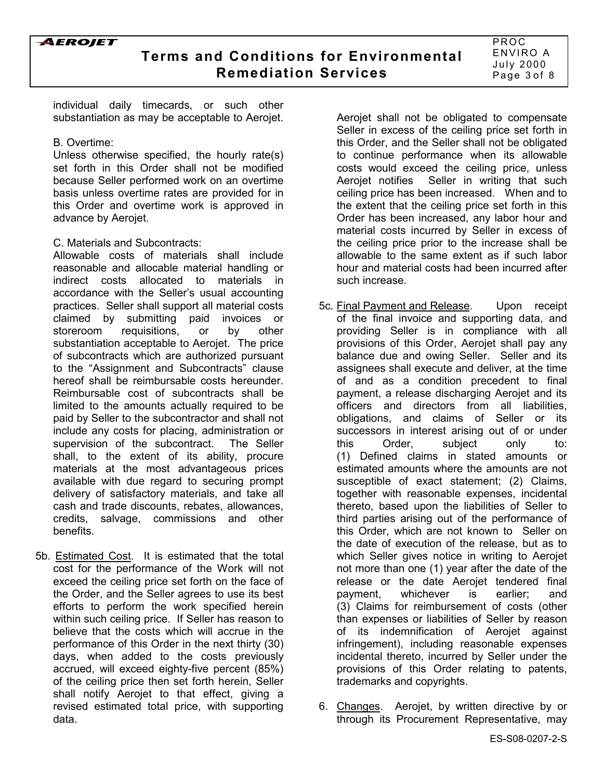

individual daily timecards, or such other substantiation as may be acceptable to Aerojet.

#### B. Overtime:

Unless otherwise specified, the hourly rate(s) set forth in this Order shall not be modified because Seller performed work on an overtime basis unless overtime rates are provided for in this Order and overtime work is approved in advance by Aerojet.

### C. Materials and Subcontracts:

Allowable costs of materials shall include reasonable and allocable material handling or indirect costs allocated to materials in accordance with the Seller's usual accounting practices. Seller shall support all material costs claimed by submitting paid invoices or storeroom requisitions, or by other substantiation acceptable to Aerojet. The price of subcontracts which are authorized pursuant to the "Assignment and Subcontracts" clause hereof shall be reimbursable costs hereunder. Reimbursable cost of subcontracts shall be limited to the amounts actually required to be paid by Seller to the subcontractor and shall not include any costs for placing, administration or supervision of the subcontract. The Seller shall, to the extent of its ability, procure materials at the most advantageous prices available with due regard to securing prompt delivery of satisfactory materials, and take all cash and trade discounts, rebates, allowances, credits, salvage, commissions and other benefits.

5b. Estimated Cost. It is estimated that the total cost for the performance of the Work will not exceed the ceiling price set forth on the face of the Order, and the Seller agrees to use its best efforts to perform the work specified herein within such ceiling price. If Seller has reason to believe that the costs which will accrue in the performance of this Order in the next thirty (30) days, when added to the costs previously accrued, will exceed eighty-five percent (85%) of the ceiling price then set forth herein, Seller shall notify Aerojet to that effect, giving a revised estimated total price, with supporting data.

Aerojet shall not be obligated to compensate Seller in excess of the ceiling price set forth in this Order, and the Seller shall not be obligated to continue performance when its allowable costs would exceed the ceiling price, unless Aerojet notifies Seller in writing that such ceiling price has been increased. When and to the extent that the ceiling price set forth in this Order has been increased, any labor hour and material costs incurred by Seller in excess of the ceiling price prior to the increase shall be allowable to the same extent as if such labor hour and material costs had been incurred after such increase.

- 5c. Final Payment and Release. Upon receipt of the final invoice and supporting data, and providing Seller is in compliance with all provisions of this Order, Aerojet shall pay any balance due and owing Seller. Seller and its assignees shall execute and deliver, at the time of and as a condition precedent to final payment, a release discharging Aerojet and its officers and directors from all liabilities, obligations, and claims of Seller or its successors in interest arising out of or under this Order, subject only to: (1) Defined claims in stated amounts or estimated amounts where the amounts are not susceptible of exact statement; (2) Claims, together with reasonable expenses, incidental thereto, based upon the liabilities of Seller to third parties arising out of the performance of this Order, which are not known to Seller on the date of execution of the release, but as to which Seller gives notice in writing to Aerojet not more than one (1) year after the date of the release or the date Aerojet tendered final payment, whichever is earlier; and (3) Claims for reimbursement of costs (other than expenses or liabilities of Seller by reason of its indemnification of Aerojet against infringement), including reasonable expenses incidental thereto, incurred by Seller under the provisions of this Order relating to patents, trademarks and copyrights.
- 6. Changes. Aerojet, by written directive by or through its Procurement Representative, may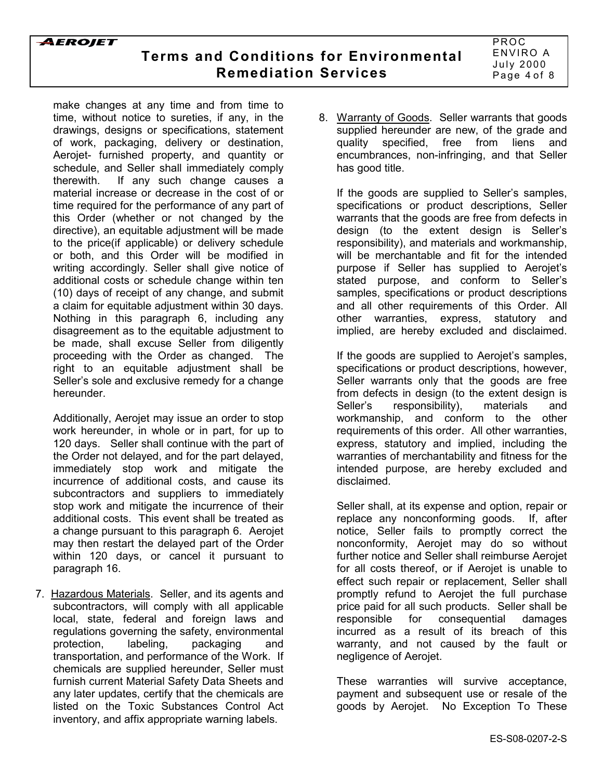make changes at any time and from time to time, without notice to sureties, if any, in the drawings, designs or specifications, statement of work, packaging, delivery or destination, Aerojet- furnished property, and quantity or schedule, and Seller shall immediately comply therewith. If any such change causes a material increase or decrease in the cost of or time required for the performance of any part of this Order (whether or not changed by the directive), an equitable adjustment will be made to the price(if applicable) or delivery schedule or both, and this Order will be modified in writing accordingly. Seller shall give notice of additional costs or schedule change within ten (10) days of receipt of any change, and submit a claim for equitable adjustment within 30 days. Nothing in this paragraph 6, including any disagreement as to the equitable adjustment to be made, shall excuse Seller from diligently proceeding with the Order as changed. The right to an equitable adjustment shall be Seller's sole and exclusive remedy for a change hereunder.

Additionally, Aerojet may issue an order to stop work hereunder, in whole or in part, for up to 120 days. Seller shall continue with the part of the Order not delayed, and for the part delayed, immediately stop work and mitigate the incurrence of additional costs, and cause its subcontractors and suppliers to immediately stop work and mitigate the incurrence of their additional costs. This event shall be treated as a change pursuant to this paragraph 6. Aerojet may then restart the delayed part of the Order within 120 days, or cancel it pursuant to paragraph 16.

7. Hazardous Materials. Seller, and its agents and subcontractors, will comply with all applicable local, state, federal and foreign laws and regulations governing the safety, environmental protection, labeling, packaging and transportation, and performance of the Work. If chemicals are supplied hereunder, Seller must furnish current Material Safety Data Sheets and any later updates, certify that the chemicals are listed on the Toxic Substances Control Act inventory, and affix appropriate warning labels.

8. Warranty of Goods. Seller warrants that goods supplied hereunder are new, of the grade and quality specified, free from liens and encumbrances, non-infringing, and that Seller has good title.

If the goods are supplied to Seller's samples, specifications or product descriptions, Seller warrants that the goods are free from defects in design (to the extent design is Sellerís responsibility), and materials and workmanship, will be merchantable and fit for the intended purpose if Seller has supplied to Aerojetís stated purpose, and conform to Seller's samples, specifications or product descriptions and all other requirements of this Order. All other warranties, express, statutory and implied, are hereby excluded and disclaimed.

If the goods are supplied to Aerojet's samples, specifications or product descriptions, however, Seller warrants only that the goods are free from defects in design (to the extent design is Seller's responsibility), materials and workmanship, and conform to the other requirements of this order. All other warranties, express, statutory and implied, including the warranties of merchantability and fitness for the intended purpose, are hereby excluded and disclaimed.

Seller shall, at its expense and option, repair or replace any nonconforming goods. If, after notice, Seller fails to promptly correct the nonconformity, Aerojet may do so without further notice and Seller shall reimburse Aerojet for all costs thereof, or if Aerojet is unable to effect such repair or replacement, Seller shall promptly refund to Aerojet the full purchase price paid for all such products. Seller shall be responsible for consequential damages incurred as a result of its breach of this warranty, and not caused by the fault or negligence of Aerojet.

These warranties will survive acceptance, payment and subsequent use or resale of the goods by Aerojet. No Exception To These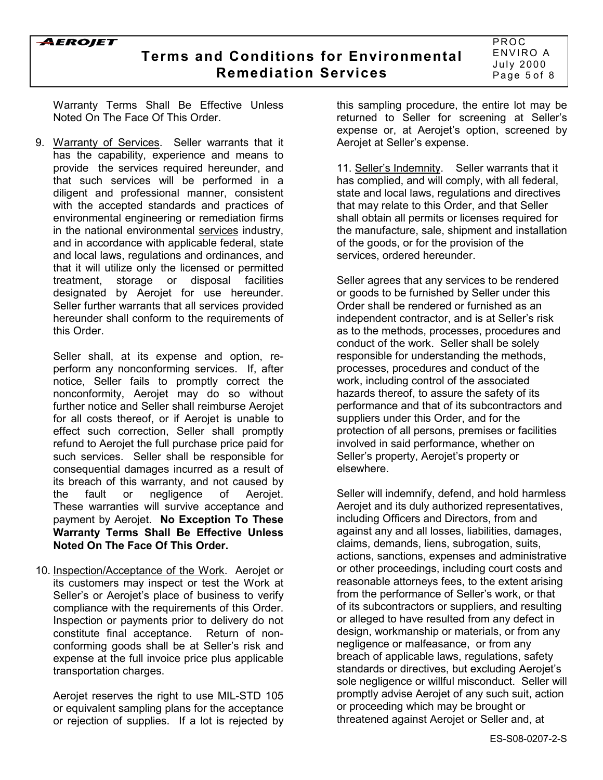## **Terms and Conditions for Environmental Remediation Services**

PROC ENVIRO A July 2000 Page 5 of 8

Warranty Terms Shall Be Effective Unless Noted On The Face Of This Order.

9. Warranty of Services. Seller warrants that it has the capability, experience and means to provide the services required hereunder, and that such services will be performed in a diligent and professional manner, consistent with the accepted standards and practices of environmental engineering or remediation firms in the national environmental services industry, and in accordance with applicable federal, state and local laws, regulations and ordinances, and that it will utilize only the licensed or permitted treatment, storage or disposal facilities designated by Aerojet for use hereunder. Seller further warrants that all services provided hereunder shall conform to the requirements of this Order.

Seller shall, at its expense and option, reperform any nonconforming services. If, after notice, Seller fails to promptly correct the nonconformity, Aerojet may do so without further notice and Seller shall reimburse Aerojet for all costs thereof, or if Aerojet is unable to effect such correction, Seller shall promptly refund to Aerojet the full purchase price paid for such services. Seller shall be responsible for consequential damages incurred as a result of its breach of this warranty, and not caused by the fault or negligence of Aerojet. These warranties will survive acceptance and payment by Aerojet. **No Exception To These Warranty Terms Shall Be Effective Unless Noted On The Face Of This Order.**

10. Inspection/Acceptance of the Work. Aerojet or its customers may inspect or test the Work at Seller's or Aerojet's place of business to verify compliance with the requirements of this Order. Inspection or payments prior to delivery do not constitute final acceptance. Return of nonconforming goods shall be at Seller's risk and expense at the full invoice price plus applicable transportation charges.

Aerojet reserves the right to use MIL-STD 105 or equivalent sampling plans for the acceptance or rejection of supplies. If a lot is rejected by this sampling procedure, the entire lot may be returned to Seller for screening at Seller's expense or, at Aerojet's option, screened by Aerojet at Seller's expense.

11. Sellerís Indemnity. Seller warrants that it has complied, and will comply, with all federal, state and local laws, regulations and directives that may relate to this Order, and that Seller shall obtain all permits or licenses required for the manufacture, sale, shipment and installation of the goods, or for the provision of the services, ordered hereunder.

Seller agrees that any services to be rendered or goods to be furnished by Seller under this Order shall be rendered or furnished as an independent contractor, and is at Seller's risk as to the methods, processes, procedures and conduct of the work. Seller shall be solely responsible for understanding the methods, processes, procedures and conduct of the work, including control of the associated hazards thereof, to assure the safety of its performance and that of its subcontractors and suppliers under this Order, and for the protection of all persons, premises or facilities involved in said performance, whether on Seller's property, Aerojet's property or elsewhere.

Seller will indemnify, defend, and hold harmless Aerojet and its duly authorized representatives, including Officers and Directors, from and against any and all losses, liabilities, damages, claims, demands, liens, subrogation, suits, actions, sanctions, expenses and administrative or other proceedings, including court costs and reasonable attorneys fees, to the extent arising from the performance of Seller's work, or that of its subcontractors or suppliers, and resulting or alleged to have resulted from any defect in design, workmanship or materials, or from any negligence or malfeasance, or from any breach of applicable laws, regulations, safety standards or directives, but excluding Aerojet's sole negligence or willful misconduct. Seller will promptly advise Aerojet of any such suit, action or proceeding which may be brought or threatened against Aerojet or Seller and, at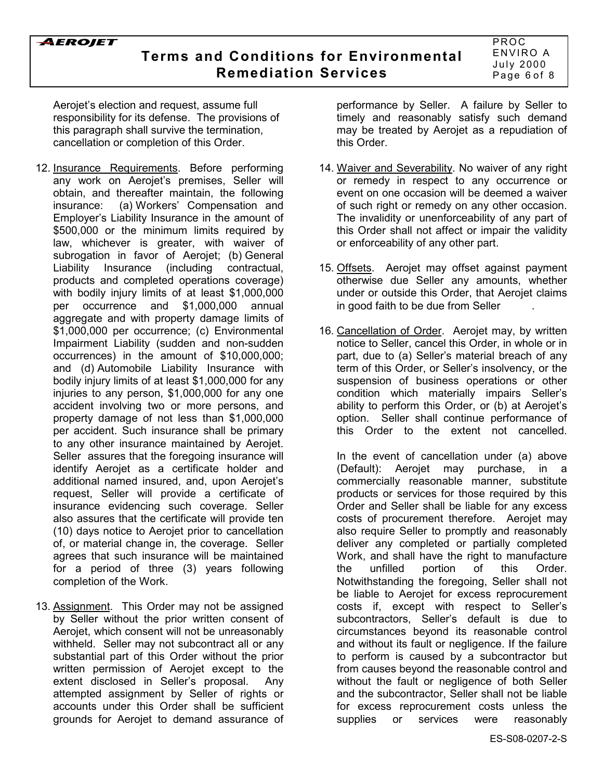**Terms and Conditions for Environmental Remediation Services**

PROC ENVIRO A July 2000 Page 6 of 8

Aerojet's election and request, assume full responsibility for its defense. The provisions of this paragraph shall survive the termination, cancellation or completion of this Order.

- 12. Insurance Requirements. Before performing any work on Aerojet's premises, Seller will obtain, and thereafter maintain, the following insurance: (a) Workers' Compensation and Employer's Liability Insurance in the amount of \$500,000 or the minimum limits required by law, whichever is greater, with waiver of subrogation in favor of Aerojet; (b) General Liability Insurance (including contractual, products and completed operations coverage) with bodily injury limits of at least \$1,000,000 per occurrence and \$1,000,000 annual aggregate and with property damage limits of \$1,000,000 per occurrence; (c) Environmental Impairment Liability (sudden and non-sudden occurrences) in the amount of \$10,000,000; and (d) Automobile Liability Insurance with bodily injury limits of at least \$1,000,000 for any injuries to any person, \$1,000,000 for any one accident involving two or more persons, and property damage of not less than \$1,000,000 per accident. Such insurance shall be primary to any other insurance maintained by Aerojet. Seller assures that the foregoing insurance will identify Aerojet as a certificate holder and additional named insured, and, upon Aerojet's request, Seller will provide a certificate of insurance evidencing such coverage. Seller also assures that the certificate will provide ten (10) days notice to Aerojet prior to cancellation of, or material change in, the coverage. Seller agrees that such insurance will be maintained for a period of three (3) years following completion of the Work.
- 13. Assignment. This Order may not be assigned by Seller without the prior written consent of Aerojet, which consent will not be unreasonably withheld. Seller may not subcontract all or any substantial part of this Order without the prior written permission of Aerojet except to the extent disclosed in Seller's proposal. Any attempted assignment by Seller of rights or accounts under this Order shall be sufficient grounds for Aerojet to demand assurance of

performance by Seller. A failure by Seller to timely and reasonably satisfy such demand may be treated by Aerojet as a repudiation of this Order.

- 14. Waiver and Severability. No waiver of any right or remedy in respect to any occurrence or event on one occasion will be deemed a waiver of such right or remedy on any other occasion. The invalidity or unenforceability of any part of this Order shall not affect or impair the validity or enforceability of any other part.
- 15. Offsets. Aerojet may offset against payment otherwise due Seller any amounts, whether under or outside this Order, that Aerojet claims in good faith to be due from Seller .
- 16. Cancellation of Order. Aerojet may, by written notice to Seller, cancel this Order, in whole or in part, due to (a) Sellerís material breach of any term of this Order, or Seller's insolvency, or the suspension of business operations or other condition which materially impairs Seller's ability to perform this Order, or (b) at Aerojet's option. Seller shall continue performance of this Order to the extent not cancelled.

In the event of cancellation under (a) above (Default): Aerojet may purchase, in a commercially reasonable manner, substitute products or services for those required by this Order and Seller shall be liable for any excess costs of procurement therefore. Aerojet may also require Seller to promptly and reasonably deliver any completed or partially completed Work, and shall have the right to manufacture the unfilled portion of this Order. Notwithstanding the foregoing, Seller shall not be liable to Aerojet for excess reprocurement costs if, except with respect to Seller's subcontractors, Seller's default is due to circumstances beyond its reasonable control and without its fault or negligence. If the failure to perform is caused by a subcontractor but from causes beyond the reasonable control and without the fault or negligence of both Seller and the subcontractor, Seller shall not be liable for excess reprocurement costs unless the supplies or services were reasonably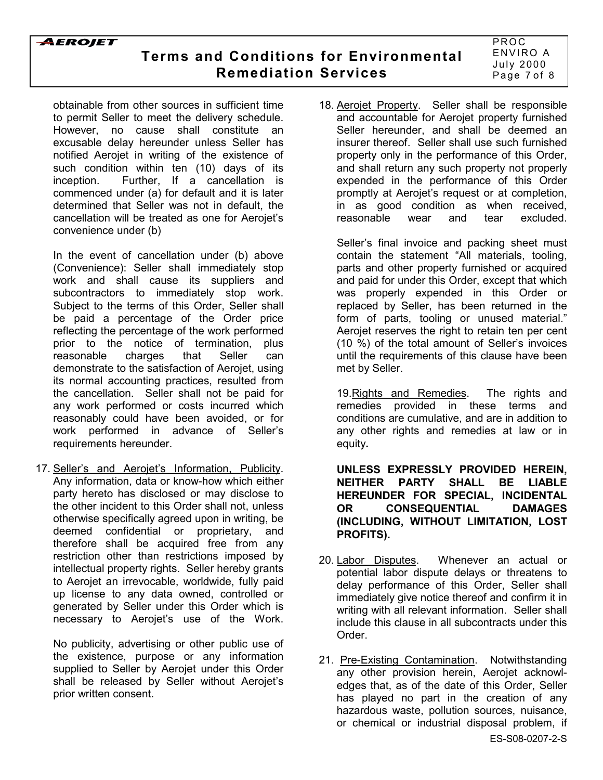

# **Terms and Conditions for Environmental Remediation Services**

PROC ENVIRO A July 2000 Page 7 of 8

obtainable from other sources in sufficient time to permit Seller to meet the delivery schedule. However, no cause shall constitute an excusable delay hereunder unless Seller has notified Aerojet in writing of the existence of such condition within ten (10) days of its inception. Further, If a cancellation is commenced under (a) for default and it is later determined that Seller was not in default, the cancellation will be treated as one for Aerojet's convenience under (b)

In the event of cancellation under (b) above (Convenience): Seller shall immediately stop work and shall cause its suppliers and subcontractors to immediately stop work. Subject to the terms of this Order, Seller shall be paid a percentage of the Order price reflecting the percentage of the work performed prior to the notice of termination, plus reasonable charges that Seller can demonstrate to the satisfaction of Aerojet, using its normal accounting practices, resulted from the cancellation. Seller shall not be paid for any work performed or costs incurred which reasonably could have been avoided, or for work performed in advance of Seller's requirements hereunder.

17. Seller's and Aerojet's Information, Publicity. Any information, data or know-how which either party hereto has disclosed or may disclose to the other incident to this Order shall not, unless otherwise specifically agreed upon in writing, be deemed confidential or proprietary, and therefore shall be acquired free from any restriction other than restrictions imposed by intellectual property rights. Seller hereby grants to Aerojet an irrevocable, worldwide, fully paid up license to any data owned, controlled or generated by Seller under this Order which is necessary to Aerojet's use of the Work.

No publicity, advertising or other public use of the existence, purpose or any information supplied to Seller by Aerojet under this Order shall be released by Seller without Aerojet's prior written consent.

18. Aerojet Property. Seller shall be responsible and accountable for Aerojet property furnished Seller hereunder, and shall be deemed an insurer thereof. Seller shall use such furnished property only in the performance of this Order, and shall return any such property not properly expended in the performance of this Order promptly at Aerojetís request or at completion, in as good condition as when received, reasonable wear and tear excluded.

Seller's final invoice and packing sheet must contain the statement "All materials, tooling, parts and other property furnished or acquired and paid for under this Order, except that which was properly expended in this Order or replaced by Seller, has been returned in the form of parts, tooling or unused material." Aerojet reserves the right to retain ten per cent (10 %) of the total amount of Seller's invoices until the requirements of this clause have been met by Seller.

19.Rights and Remedies. The rights and remedies provided in these terms and conditions are cumulative, and are in addition to any other rights and remedies at law or in equity**.**

**UNLESS EXPRESSLY PROVIDED HEREIN, NEITHER PARTY SHALL BE LIABLE HEREUNDER FOR SPECIAL, INCIDENTAL OR CONSEQUENTIAL DAMAGES (INCLUDING, WITHOUT LIMITATION, LOST PROFITS).**

- 20. Labor Disputes. Whenever an actual or potential labor dispute delays or threatens to delay performance of this Order, Seller shall immediately give notice thereof and confirm it in writing with all relevant information. Seller shall include this clause in all subcontracts under this Order.
- 21. Pre-Existing Contamination. Notwithstanding any other provision herein, Aerojet acknowledges that, as of the date of this Order, Seller has played no part in the creation of any hazardous waste, pollution sources, nuisance, or chemical or industrial disposal problem, if